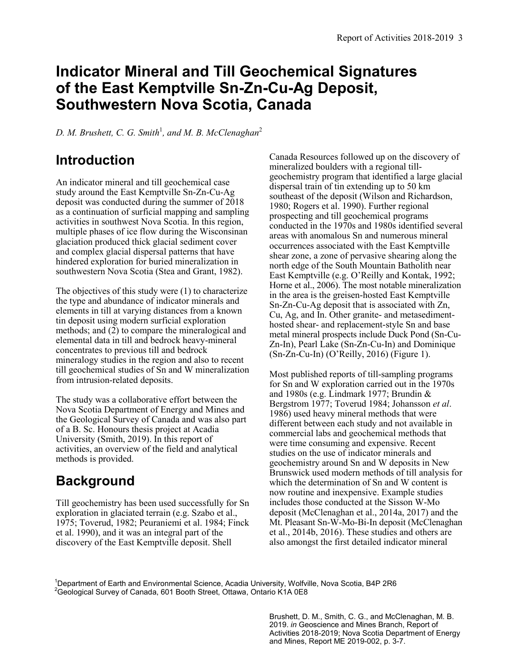## **Indicator Mineral and Till Geochemical Signatures of the East Kemptville Sn-Zn-Cu-Ag Deposit, Southwestern Nova Scotia, Canada**

*D. M. Brushett, C. G. Smith*<sup>1</sup> *, and M. B. McClenaghan*<sup>2</sup>

#### **Introduction**

An indicator mineral and till geochemical case study around the East Kemptville Sn-Zn-Cu-Ag deposit was conducted during the summer of 2018 as a continuation of surficial mapping and sampling activities in southwest Nova Scotia. In this region, multiple phases of ice flow during the Wisconsinan glaciation produced thick glacial sediment cover and complex glacial dispersal patterns that have hindered exploration for buried mineralization in southwestern Nova Scotia (Stea and Grant, 1982).

The objectives of this study were (1) to characterize the type and abundance of indicator minerals and elements in till at varying distances from a known tin deposit using modern surficial exploration methods; and (2) to compare the mineralogical and elemental data in till and bedrock heavy-mineral concentrates to previous till and bedrock mineralogy studies in the region and also to recent till geochemical studies of Sn and W mineralization from intrusion-related deposits.

The study was a collaborative effort between the Nova Scotia Department of Energy and Mines and the Geological Survey of Canada and was also part of a B. Sc. Honours thesis project at Acadia University (Smith, 2019). In this report of activities, an overview of the field and analytical methods is provided.

## **Background**

Till geochemistry has been used successfully for Sn exploration in glaciated terrain (e.g. Szabo et al., 1975; Toverud, 1982; Peuraniemi et al. 1984; Finck et al. 1990), and it was an integral part of the discovery of the East Kemptville deposit. Shell

Canada Resources followed up on the discovery of mineralized boulders with a regional tillgeochemistry program that identified a large glacial dispersal train of tin extending up to 50 km southeast of the deposit (Wilson and Richardson, 1980; Rogers et al. 1990). Further regional prospecting and till geochemical programs conducted in the 1970s and 1980s identified several areas with anomalous Sn and numerous mineral occurrences associated with the East Kemptville shear zone, a zone of pervasive shearing along the north edge of the South Mountain Batholith near East Kemptville (e.g. O'Reilly and Kontak, 1992; Horne et al., 2006). The most notable mineralization in the area is the greisen-hosted East Kemptville Sn-Zn-Cu-Ag deposit that is associated with Zn, Cu, Ag, and In. Other granite- and metasedimenthosted shear- and replacement-style Sn and base metal mineral prospects include Duck Pond (Sn-Cu-Zn-In), Pearl Lake (Sn-Zn-Cu-In) and Dominique  $(Sn-Zn-Cu-In)$  (O'Reilly, 2016) (Figure 1).

Most published reports of till-sampling programs for Sn and W exploration carried out in the 1970s and 1980s (e.g. Lindmark 1977; Brundin & Bergstrom 1977; Toverud 1984; Johansson *et al*. 1986) used heavy mineral methods that were different between each study and not available in commercial labs and geochemical methods that were time consuming and expensive. Recent studies on the use of indicator minerals and geochemistry around Sn and W deposits in New Brunswick used modern methods of till analysis for which the determination of Sn and W content is now routine and inexpensive. Example studies includes those conducted at the Sisson W-Mo deposit (McClenaghan et al., 2014a, 2017) and the Mt. Pleasant Sn-W-Mo-Bi-In deposit (McClenaghan et al., 2014b, 2016). These studies and others are also amongst the first detailed indicator mineral

 $1$ Department of Earth and Environmental Science, Acadia University, Wolfville, Nova Scotia, B4P 2R6 <sup>2</sup>Geological Survey of Canada, 601 Booth Street, Ottawa, Ontario K1A 0E8

> Brushett, D. M., Smith, C. G., and McClenaghan, M. B. 2019. *in* Geoscience and Mines Branch, Report of Activities 2018-2019; Nova Scotia Department of Energy and Mines, Report ME 2019-002, p. 3-7.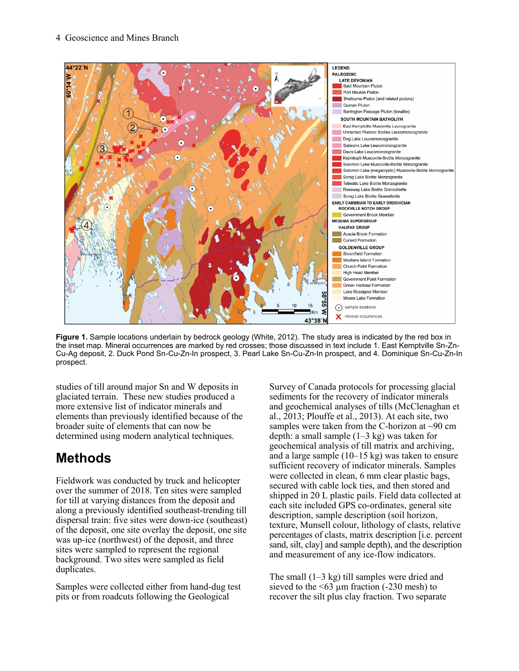

**Figure 1.** Sample locations underlain by bedrock geology (White, 2012). The study area is indicated by the red box in the inset map. Mineral occurrences are marked by red crosses; those discussed in text include 1. East Kemptville Sn-Zn-Cu-Ag deposit, 2. Duck Pond Sn-Cu-Zn-In prospect, 3. Pearl Lake Sn-Cu-Zn-In prospect, and 4. Dominique Sn-Cu-Zn-In prospect.

studies of till around major Sn and W deposits in glaciated terrain. These new studies produced a more extensive list of indicator minerals and elements than previously identified because of the broader suite of elements that can now be determined using modern analytical techniques.

# **Methods**

Fieldwork was conducted by truck and helicopter over the summer of 2018. Ten sites were sampled for till at varying distances from the deposit and along a previously identified southeast-trending till dispersal train: five sites were down-ice (southeast) of the deposit, one site overlay the deposit, one site was up-ice (northwest) of the deposit, and three sites were sampled to represent the regional background. Two sites were sampled as field duplicates.

Samples were collected either from hand-dug test pits or from roadcuts following the Geological

Survey of Canada protocols for processing glacial sediments for the recovery of indicator minerals and geochemical analyses of tills (McClenaghan et al., 2013; Plouffe et al., 2013). At each site, two samples were taken from the C-horizon at  $\sim 90$  cm depth: a small sample  $(1-3 \text{ kg})$  was taken for geochemical analysis of till matrix and archiving, and a large sample (10–15 kg) was taken to ensure sufficient recovery of indicator minerals. Samples were collected in clean, 6 mm clear plastic bags, secured with cable lock ties, and then stored and shipped in 20 L plastic pails. Field data collected at each site included GPS co-ordinates, general site description, sample description (soil horizon, texture, Munsell colour, lithology of clasts, relative percentages of clasts, matrix description [i.e. percent sand, silt, clay] and sample depth), and the description and measurement of any ice-flow indicators.

The small (1–3 kg) till samples were dried and sieved to the  $\leq 63 \mu m$  fraction (-230 mesh) to recover the silt plus clay fraction. Two separate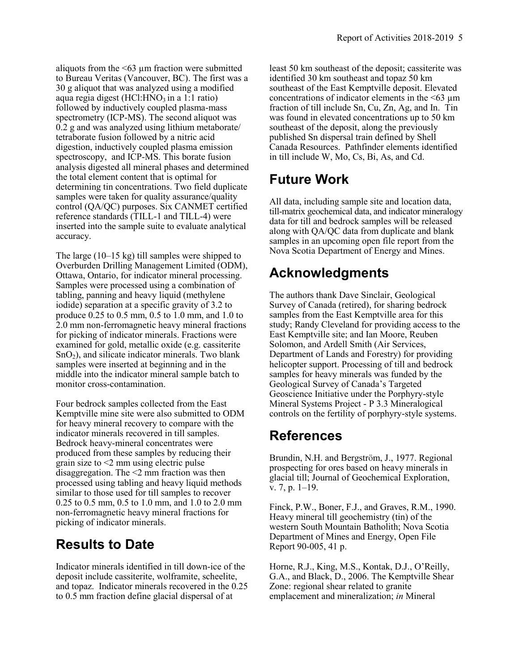aliquots from the  $\leq 63 \mu$ m fraction were submitted to Bureau Veritas (Vancouver, BC). The first was a 30 g aliquot that was analyzed using a modified aqua regia digest (HCl: HNO<sub>3</sub> in a 1:1 ratio) followed by inductively coupled plasma-mass spectrometry (ICP-MS). The second aliquot was 0.2 g and was analyzed using lithium metaborate/ tetraborate fusion followed by a nitric acid digestion, inductively coupled plasma emission spectroscopy, and ICP-MS. This borate fusion analysis digested all mineral phases and determined the total element content that is optimal for determining tin concentrations. Two field duplicate samples were taken for quality assurance/quality control (QA/QC) purposes. Six CANMET certified reference standards (TILL-1 and TILL-4) were inserted into the sample suite to evaluate analytical accuracy.

The large (10–15 kg) till samples were shipped to Overburden Drilling Management Limited (ODM), Ottawa, Ontario, for indicator mineral processing. Samples were processed using a combination of tabling, panning and heavy liquid (methylene iodide) separation at a specific gravity of 3.2 to produce 0.25 to 0.5 mm, 0.5 to 1.0 mm, and 1.0 to 2.0 mm non-ferromagnetic heavy mineral fractions for picking of indicator minerals. Fractions were examined for gold, metallic oxide (e.g. cassiterite  $SnO<sub>2</sub>$ ), and silicate indicator minerals. Two blank samples were inserted at beginning and in the middle into the indicator mineral sample batch to monitor cross-contamination.

Four bedrock samples collected from the East Kemptville mine site were also submitted to ODM for heavy mineral recovery to compare with the indicator minerals recovered in till samples. Bedrock heavy-mineral concentrates were produced from these samples by reducing their grain size to <2 mm using electric pulse disaggregation. The <2 mm fraction was then processed using tabling and heavy liquid methods similar to those used for till samples to recover 0.25 to 0.5 mm, 0.5 to 1.0 mm, and 1.0 to 2.0 mm non-ferromagnetic heavy mineral fractions for picking of indicator minerals.

#### **Results to Date**

Indicator minerals identified in till down-ice of the deposit include cassiterite, wolframite, scheelite, and topaz. Indicator minerals recovered in the 0.25 to 0.5 mm fraction define glacial dispersal of at

least 50 km southeast of the deposit; cassiterite was identified 30 km southeast and topaz 50 km southeast of the East Kemptville deposit. Elevated concentrations of indicator elements in the  $\leq 63 \mu m$ fraction of till include Sn, Cu, Zn, Ag, and In. Tin was found in elevated concentrations up to 50 km southeast of the deposit, along the previously published Sn dispersal train defined by Shell Canada Resources. Pathfinder elements identified in till include W, Mo, Cs, Bi, As, and Cd.

## **Future Work**

All data, including sample site and location data, till-matrix geochemical data, and indicator mineralogy data for till and bedrock samples will be released along with QA/QC data from duplicate and blank samples in an upcoming open file report from the Nova Scotia Department of Energy and Mines.

## **Acknowledgments**

The authors thank Dave Sinclair, Geological Survey of Canada (retired), for sharing bedrock samples from the East Kemptville area for this study; Randy Cleveland for providing access to the East Kemptville site; and Ian Moore, Reuben Solomon, and Ardell Smith (Air Services, Department of Lands and Forestry) for providing helicopter support. Processing of till and bedrock samples for heavy minerals was funded by the Geological Survey of Canada's Targeted Geoscience Initiative under the Porphyry-style Mineral Systems Project - P 3.3 Mineralogical controls on the fertility of porphyry-style systems.

#### **References**

Brundin, N.H. and Bergström, J., 1977. Regional prospecting for ores based on heavy minerals in glacial till; Journal of Geochemical Exploration, v. 7, p. 1–19.

Finck, P.W., Boner, F.J., and Graves, R.M., 1990. Heavy mineral till geochemistry (tin) of the western South Mountain Batholith; Nova Scotia Department of Mines and Energy, Open File Report 90-005, 41 p.

Horne, R.J., King, M.S., Kontak, D.J., O'Reilly, G.A., and Black, D., 2006. The Kemptville Shear Zone: regional shear related to granite emplacement and mineralization; *in* Mineral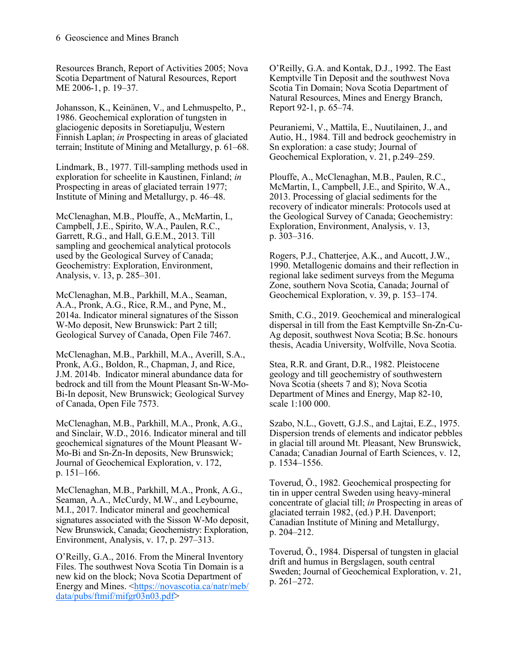Resources Branch, Report of Activities 2005; Nova Scotia Department of Natural Resources, Report ME 2006-1, p. 19–37.

Johansson, K., Keinänen, V., and Lehmuspelto, P., 1986. Geochemical exploration of tungsten in glaciogenic deposits in Soretiapulju, Western Finnish Laplan; *in* Prospecting in areas of glaciated terrain; Institute of Mining and Metallurgy, p. 61–68.

Lindmark, B., 1977. Till-sampling methods used in exploration for scheelite in Kaustinen, Finland; *in* Prospecting in areas of glaciated terrain 1977; Institute of Mining and Metallurgy, p. 46–48.

McClenaghan, M.B., Plouffe, A., McMartin, I., Campbell, J.E., Spirito, W.A., Paulen, R.C., Garrett, R.G., and Hall, G.E.M., 2013. Till sampling and geochemical analytical protocols used by the Geological Survey of Canada; Geochemistry: Exploration, Environment, Analysis, v. 13, p. 285–301.

McClenaghan, M.B., Parkhill, M.A., Seaman, A.A., Pronk, A.G., Rice, R.M., and Pyne, M., 2014a. Indicator mineral signatures of the Sisson W-Mo deposit, New Brunswick: Part 2 till; Geological Survey of Canada, Open File 7467.

McClenaghan, M.B., Parkhill, M.A., Averill, S.A., Pronk, A.G., Boldon, R., Chapman, J, and Rice, J.M. 2014b. Indicator mineral abundance data for bedrock and till from the Mount Pleasant Sn-W-Mo-Bi-In deposit, New Brunswick; Geological Survey of Canada, Open File 7573.

McClenaghan, M.B., Parkhill, M.A., Pronk, A.G., and Sinclair, W.D., 2016. Indicator mineral and till geochemical signatures of the Mount Pleasant W-Mo-Bi and Sn-Zn-In deposits, New Brunswick; Journal of Geochemical Exploration, v. 172, p. 151–166.

McClenaghan, M.B., Parkhill, M.A., Pronk, A.G., Seaman, A.A., McCurdy, M.W., and Leybourne, M.I., 2017. Indicator mineral and geochemical signatures associated with the Sisson W-Mo deposit, New Brunswick, Canada; Geochemistry: Exploration, Environment, Analysis, v. 17, p. 297–313.

O'Reilly, G.A., 2016. From the Mineral Inventory Files. The southwest Nova Scotia Tin Domain is a new kid on the block; Nova Scotia Department of Energy and Mines. [<https://novascotia.ca/natr/meb/](https://novascotia.ca/natr/meb/data/pubs/ftmif/mifgr03n03.pdf)  $data/pubs/ffmif/mifgr03n03.pdf$ 

O'Reilly, G.A. and Kontak, D.J., 1992. The East Kemptville Tin Deposit and the southwest Nova Scotia Tin Domain; Nova Scotia Department of Natural Resources, Mines and Energy Branch, Report 92-1, p. 65–74.

Peuraniemi, V., Mattila, E., Nuutilainen, J., and Autio, H., 1984. Till and bedrock geochemistry in Sn exploration: a case study; Journal of Geochemical Exploration, v. 21, p.249–259.

Plouffe, A., McClenaghan, M.B., Paulen, R.C., McMartin, I., Campbell, J.E., and Spirito, W.A., 2013. Processing of glacial sediments for the recovery of indicator minerals: Protocols used at the Geological Survey of Canada; Geochemistry: Exploration, Environment, Analysis, v. 13, p. 303–316.

Rogers, P.J., Chatterjee, A.K., and Aucott, J.W., 1990. Metallogenic domains and their reflection in regional lake sediment surveys from the Meguma Zone, southern Nova Scotia, Canada; Journal of Geochemical Exploration, v. 39, p. 153–174.

Smith, C.G., 2019. Geochemical and mineralogical dispersal in till from the East Kemptville Sn-Zn-Cu-Ag deposit, southwest Nova Scotia; B.Sc. honours thesis, Acadia University, Wolfville, Nova Scotia.

Stea, R.R. and Grant, D.R., 1982. Pleistocene geology and till geochemistry of southwestern Nova Scotia (sheets 7 and 8); Nova Scotia Department of Mines and Energy, Map 82-10, scale 1:100 000.

Szabo, N.L., Govett, G.J.S., and Lajtai, E.Z., 1975. Dispersion trends of elements and indicator pebbles in glacial till around Mt. Pleasant, New Brunswick, Canada; Canadian Journal of Earth Sciences, v. 12, p. 1534–1556.

Toverud, Ö., 1982. Geochemical prospecting for tin in upper central Sweden using heavy-mineral concentrate of glacial till; *in* Prospecting in areas of glaciated terrain 1982, (ed.) P.H. Davenport; Canadian Institute of Mining and Metallurgy, p. 204–212.

Toverud, Ö., 1984. Dispersal of tungsten in glacial drift and humus in Bergslagen, south central Sweden; Journal of Geochemical Exploration, v. 21, p. 261–272.